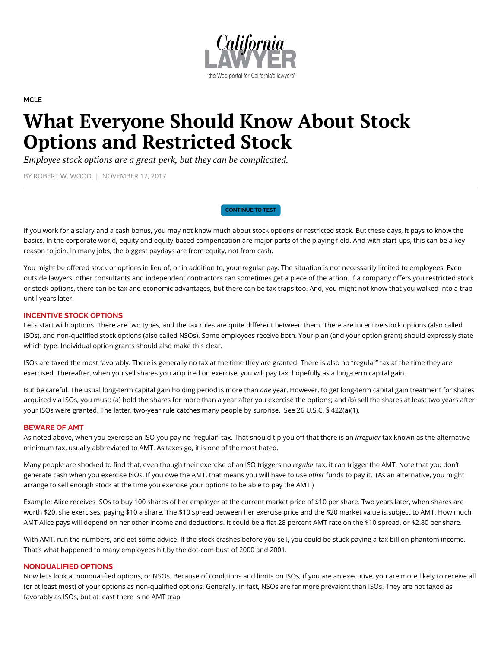

#### **[MCLE](http://legacy.callawyer.com/category/mcle/)**

# What Everyone Should Know About Stock Options and Restricted Stock

*Employee stock options are a great perk, but they can be complicated.*

BY ROBERT W. WOOD | NOVEMBER 17, 2017

[CONTINUE TO TEST](https://ww2.callawyer.com/cle/cle_testview.cfm?newwindow=1&qvID=707)

If you work for a salary and a cash bonus, you may not know much about stock options or restricted stock. But these days, it pays to know the basics. In the corporate world, equity and equity-based compensation are major parts of the playing field. And with start-ups, this can be a key reason to join. In many jobs, the biggest paydays are from equity, not from cash.

You might be offered stock or options in lieu of, or in addition to, your regular pay. The situation is not necessarily limited to employees. Even outside lawyers, other consultants and independent contractors can sometimes get a piece of the action. If a company offers you restricted stock or stock options, there can be tax and economic advantages, but there can be tax traps too. And, you might not know that you walked into a trap until years later.

# INCENTIVE STOCK OPTIONS

Let's start with options. There are two types, and the tax rules are quite different between them. There are incentive stock options (also called ISOs), and non-qualified stock options (also called NSOs). Some employees receive both. Your plan (and your option grant) should expressly state which type. Individual option grants should also make this clear.

ISOs are taxed the most favorably. There is generally no tax at the time they are granted. There is also no "regular" tax at the time they are exercised. Thereafter, when you sell shares you acquired on exercise, you will pay tax, hopefully as a long-term capital gain.

But be careful. The usual long-term capital gain holding period is more than one year. However, to get long-term capital gain treatment for shares acquired via ISOs, you must: (a) hold the shares for more than a year after you exercise the options; and (b) sell the shares at least two years after your ISOs were granted. The latter, two-year rule catches many people by surprise. See 26 U.S.C. § 422(a)(1).

## BEWARE OF AMT

As noted above, when you exercise an ISO you pay no "regular" tax. That should tip you off that there is an *irregular* tax known as the alternative minimum tax, usually abbreviated to AMT. As taxes go, it is one of the most hated.

Many people are shocked to find that, even though their exercise of an ISO triggers no regular tax, it can trigger the AMT. Note that you don't generate cash when you exercise ISOs. If you owe the AMT, that means you will have to use other funds to pay it. (As an alternative, you might arrange to sell enough stock at the time you exercise your options to be able to pay the AMT.)

Example: Alice receives ISOs to buy 100 shares of her employer at the current market price of \$10 per share. Two years later, when shares are worth \$20, she exercises, paying \$10 a share. The \$10 spread between her exercise price and the \$20 market value is subject to AMT. How much AMT Alice pays will depend on her other income and deductions. It could be a flat 28 percent AMT rate on the \$10 spread, or \$2.80 per share.

With AMT, run the numbers, and get some advice. If the stock crashes before you sell, you could be stuck paying a tax bill on phantom income. That's what happened to many employees hit by the dot-com bust of 2000 and 2001.

## NONQUALIFIED OPTIONS

Now let's look at nonqualified options, or NSOs. Because of conditions and limits on ISOs, if you are an executive, you are more likely to receive all (or at least most) of your options as non-qualified options. Generally, in fact, NSOs are far more prevalent than ISOs. They are not taxed as favorably as ISOs, but at least there is no AMT trap.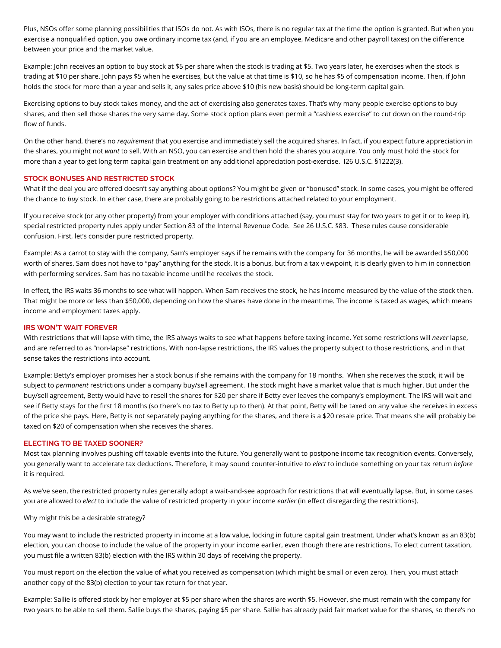Plus, NSOs offer some planning possibilities that ISOs do not. As with ISOs, there is no regular tax at the time the option is granted. But when you exercise a nonqualified option, you owe ordinary income tax (and, if you are an employee, Medicare and other payroll taxes) on the difference between your price and the market value.

Example: John receives an option to buy stock at \$5 per share when the stock is trading at \$5. Two years later, he exercises when the stock is trading at \$10 per share. John pays \$5 when he exercises, but the value at that time is \$10, so he has \$5 of compensation income. Then, if John holds the stock for more than a year and sells it, any sales price above \$10 (his new basis) should be long-term capital gain.

Exercising options to buy stock takes money, and the act of exercising also generates taxes. That's why many people exercise options to buy shares, and then sell those shares the very same day. Some stock option plans even permit a "cashless exercise" to cut down on the round-trip flow of funds.

On the other hand, there's no requirement that you exercise and immediately sell the acquired shares. In fact, if you expect future appreciation in the shares, you might not want to sell. With an NSO, you can exercise and then hold the shares you acquire. You only must hold the stock for more than a year to get long term capital gain treatment on any additional appreciation post-exercise. I26 U.S.C. §1222(3).

## STOCK BONUSES AND RESTRICTED STOCK

What if the deal you are offered doesn't say anything about options? You might be given or "bonused" stock. In some cases, you might be offered the chance to buy stock. In either case, there are probably going to be restrictions attached related to your employment.

If you receive stock (or any other property) from your employer with conditions attached (say, you must stay for two years to get it or to keep it), special restricted property rules apply under Section 83 of the Internal Revenue Code. See 26 U.S.C. §83. These rules cause considerable confusion. First, let's consider pure restricted property.

Example: As a carrot to stay with the company, Sam's employer says if he remains with the company for 36 months, he will be awarded \$50,000 worth of shares. Sam does not have to "pay" anything for the stock. It is a bonus, but from a tax viewpoint, it is clearly given to him in connection with performing services. Sam has no taxable income until he receives the stock.

In effect, the IRS waits 36 months to see what will happen. When Sam receives the stock, he has income measured by the value of the stock then. That might be more or less than \$50,000, depending on how the shares have done in the meantime. The income is taxed as wages, which means income and employment taxes apply.

## IRS WON'T WAIT FOREVER

With restrictions that will lapse with time, the IRS always waits to see what happens before taxing income. Yet some restrictions will never lapse, and are referred to as "non-lapse" restrictions. With non-lapse restrictions, the IRS values the property subject to those restrictions, and in that sense takes the restrictions into account.

Example: Betty's employer promises her a stock bonus if she remains with the company for 18 months. When she receives the stock, it will be subject to permanent restrictions under a company buy/sell agreement. The stock might have a market value that is much higher. But under the buy/sell agreement, Betty would have to resell the shares for \$20 per share if Betty ever leaves the company's employment. The IRS will wait and see if Betty stays for the first 18 months (so there's no tax to Betty up to then). At that point, Betty will be taxed on any value she receives in excess of the price she pays. Here, Betty is not separately paying anything for the shares, and there is a \$20 resale price. That means she will probably be taxed on \$20 of compensation when she receives the shares.

#### ELECTING TO BE TAXED SOONER?

Most tax planning involves pushing off taxable events into the future. You generally want to postpone income tax recognition events. Conversely, you generally want to accelerate tax deductions. Therefore, it may sound counter-intuitive to elect to include something on your tax return before it is required.

As we've seen, the restricted property rules generally adopt a wait-and-see approach for restrictions that will eventually lapse. But, in some cases you are allowed to *elect* to include the value of restricted property in your income *earlier* (in effect disregarding the restrictions).

#### Why might this be a desirable strategy?

You may want to include the restricted property in income at a low value, locking in future capital gain treatment. Under what's known as an 83(b) election, you can choose to include the value of the property in your income earlier, even though there are restrictions. To elect current taxation, you must file a written 83(b) election with the IRS within 30 days of receiving the property.

You must report on the election the value of what you received as compensation (which might be small or even zero). Then, you must attach another copy of the 83(b) election to your tax return for that year.

Example: Sallie is offered stock by her employer at \$5 per share when the shares are worth \$5. However, she must remain with the company for two years to be able to sell them. Sallie buys the shares, paying \$5 per share. Sallie has already paid fair market value for the shares, so there's no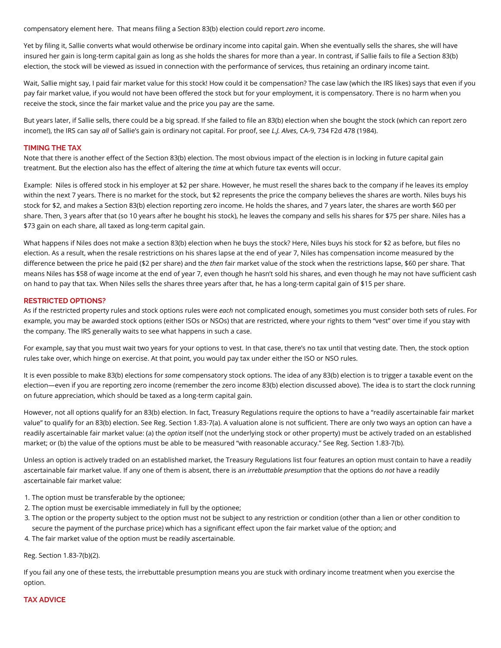compensatory element here. That means filing a Section 83(b) election could report zero income.

Yet by filing it, Sallie converts what would otherwise be ordinary income into capital gain. When she eventually sells the shares, she will have insured her gain is long-term capital gain as long as she holds the shares for more than a year. In contrast, if Sallie fails to file a Section 83(b) election, the stock will be viewed as issued in connection with the performance of services, thus retaining an ordinary income taint.

Wait, Sallie might say, I paid fair market value for this stock! How could it be compensation? The case law (which the IRS likes) says that even if you pay fair market value, if you would not have been offered the stock but for your employment, it is compensatory. There is no harm when you receive the stock, since the fair market value and the price you pay are the same.

But years later, if Sallie sells, there could be a big spread. If she failed to file an 83(b) election when she bought the stock (which can report zero income!), the IRS can say all of Sallie's gain is ordinary not capital. For proof, see L.J. Alves, CA-9, 734 F2d 478 (1984).

## TIMING THE TAX

Note that there is another effect of the Section 83(b) election. The most obvious impact of the election is in locking in future capital gain treatment. But the election also has the effect of altering the time at which future tax events will occur.

Example: Niles is offered stock in his employer at \$2 per share. However, he must resell the shares back to the company if he leaves its employ within the next 7 years. There is no market for the stock, but \$2 represents the price the company believes the shares are worth. Niles buys his stock for \$2, and makes a Section 83(b) election reporting zero income. He holds the shares, and 7 years later, the shares are worth \$60 per share. Then, 3 years after that (so 10 years after he bought his stock), he leaves the company and sells his shares for \$75 per share. Niles has a \$73 gain on each share, all taxed as long-term capital gain.

What happens if Niles does not make a section 83(b) election when he buys the stock? Here, Niles buys his stock for \$2 as before, but files no election. As a result, when the resale restrictions on his shares lapse at the end of year 7, Niles has compensation income measured by the difference between the price he paid (\$2 per share) and the then fair market value of the stock when the restrictions lapse, \$60 per share. That means Niles has \$58 of wage income at the end of year 7, even though he hasn't sold his shares, and even though he may not have sufficient cash on hand to pay that tax. When Niles sells the shares three years after that, he has a long-term capital gain of \$15 per share.

#### RESTRICTED OPTIONS?

As if the restricted property rules and stock options rules were each not complicated enough, sometimes you must consider both sets of rules. For example, you may be awarded stock options (either ISOs or NSOs) that are restricted, where your rights to them "vest" over time if you stay with the company. The IRS generally waits to see what happens in such a case.

For example, say that you must wait two years for your options to vest. In that case, there's no tax until that vesting date. Then, the stock option rules take over, which hinge on exercise. At that point, you would pay tax under either the ISO or NSO rules.

It is even possible to make 83(b) elections for some compensatory stock options. The idea of any 83(b) election is to trigger a taxable event on the election—even if you are reporting zero income (remember the zero income 83(b) election discussed above). The idea is to start the clock running on future appreciation, which should be taxed as a long-term capital gain.

However, not all options qualify for an 83(b) election. In fact, Treasury Regulations require the options to have a "readily ascertainable fair market value" to qualify for an 83(b) election. See Reg. Section 1.83-7(a). A valuation alone is not sufficient. There are only two ways an option can have a readily ascertainable fair market value: (a) the option itself (not the underlying stock or other property) must be actively traded on an established market; or (b) the value of the options must be able to be measured "with reasonable accuracy." See Reg. Section 1.83‑7(b).

Unless an option is actively traded on an established market, the Treasury Regulations list four features an option must contain to have a readily ascertainable fair market value. If any one of them is absent, there is an *irrebuttable presumption* that the options do not have a readily ascertainable fair market value:

- 1. The option must be transferable by the optionee;
- 2. The option must be exercisable immediately in full by the optionee;
- 3. The option or the property subject to the option must not be subject to any restriction or condition (other than a lien or other condition to secure the payment of the purchase price) which has a significant effect upon the fair market value of the option; and
- 4. The fair market value of the option must be readily ascertainable.

Reg. Section 1.83-7(b)(2).

If you fail any one of these tests, the irrebuttable presumption means you are stuck with ordinary income treatment when you exercise the option.

# TAX ADVICE